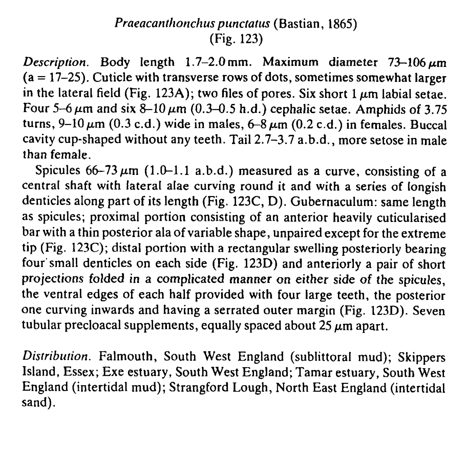## Praeacanthonchus punctatus (Bastian, 1865) (Fig. 123)

Description. Body length  $1.7-2.0$  mm. Maximum diameter  $73-106 \,\mu m$  $(a = 17-25)$ . Cuticle with transverse rows of dots, sometimes somewhat larger in the lateral field (Fig. 123A); two files of pores. Six short 1  $\mu$ m labial setae. Four 5-6  $\mu$ m and six 8-10  $\mu$ m (0.3-0.5 h.d.) cephalic setae. Amphids of 3.75 turns,  $9-10 \mu m$  (0.3 c.d.) wide in males,  $6-8 \mu m$  (0.2 c.d.) in females. Buccal cavity cup-shaped without any teeth. Tail 2.7-3.7 a.b.d., more setose in male than female.

Spicules  $66-73 \mu m$  (1.0-1.1 a.b.d.) measured as a curve, consisting of a central shaft with lateral alae curving round it and with a series of longish denticles along part of its length (Fig. 123C, D). Gubernaculum: same length as spicules; proximal portion consisting of an anterior heavily cuticularised bar with a thin posterior ala of variable shape, unpaired except for the extreme tip (Fig. 123C); distal portion with a rectangular swelling posteriorly bearing four'small denticles on each side (Fig. 123D) and anteriorly a pair of short projections folded in a complicated manner on either side of the spicules, the ventral edges of each half provided with four large teeth, the posterior one curving inwards and having a serrated outer margin (Fig. 123D). Seven tubular precloacal supplements, equally spaced about  $25 \mu m$  apart.

Distribution. Falmouth, South West England (sublittoral mud); Skippers Island, Essex; Exe estuary, South West England; Tamar estuary, South West England (intertidal mud); Strangford Lough, North East England (intertidal sand).